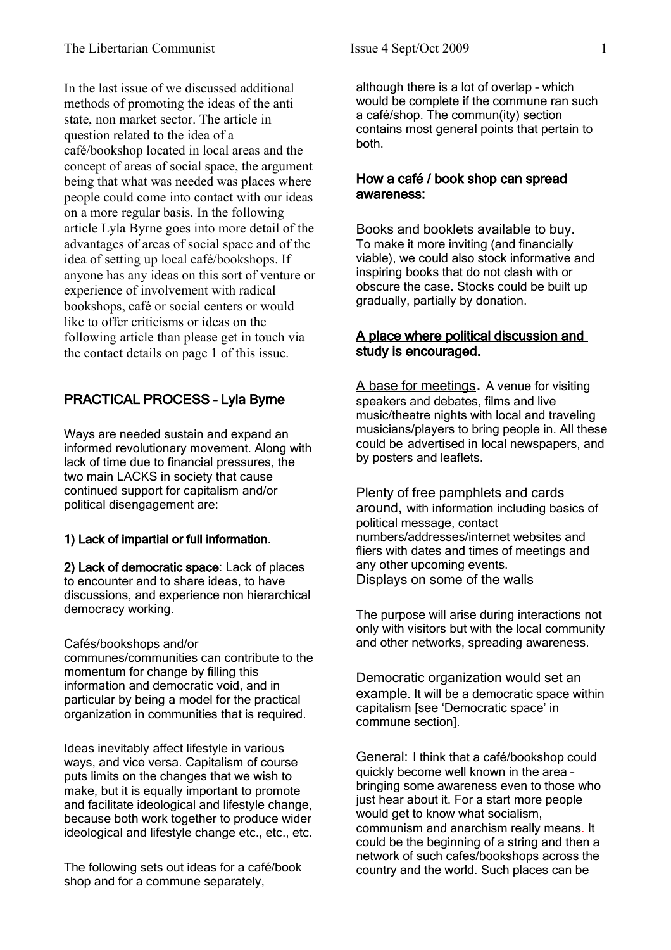In the last issue of we discussed additional methods of promoting the ideas of the anti state, non market sector. The article in question related to the idea of a café/bookshop located in local areas and the concept of areas of social space, the argument being that what was needed was places where people could come into contact with our ideas on a more regular basis. In the following article Lyla Byrne goes into more detail of the advantages of areas of social space and of the idea of setting up local café/bookshops. If anyone has any ideas on this sort of venture or experience of involvement with radical bookshops, café or social centers or would like to offer criticisms or ideas on the following article than please get in touch via the contact details on page 1 of this issue.

# PRACTICAL PROCESS – Lyla Byrne

Ways are needed sustain and expand an informed revolutionary movement. Along with lack of time due to financial pressures, the two main LACKS in society that cause continued support for capitalism and/or political disengagement are:

# 1) Lack of impartial or full information.

2) Lack of democratic space: Lack of places to encounter and to share ideas, to have discussions, and experience non hierarchical democracy working.

## Cafés/bookshops and/or

communes/communities can contribute to the momentum for change by filling this information and democratic void, and in particular by being a model for the practical organization in communities that is required.

Ideas inevitably affect lifestyle in various ways, and vice versa. Capitalism of course puts limits on the changes that we wish to make, but it is equally important to promote and facilitate ideological and lifestyle change, because both work together to produce wider ideological and lifestyle change etc., etc., etc.

The following sets out ideas for a café/book shop and for a commune separately,

although there is a lot of overlap – which would be complete if the commune ran such a café/shop. The commun(ity) section contains most general points that pertain to both.

## How a café / book shop can spread awareness:

Books and booklets available to buy. To make it more inviting (and financially viable), we could also stock informative and inspiring books that do not clash with or obscure the case. Stocks could be built up gradually, partially by donation.

## A place where political discussion and study is encouraged.

A base for meetings. A venue for visiting speakers and debates, films and live music/theatre nights with local and traveling musicians/players to bring people in. All these could be advertised in local newspapers, and by posters and leaflets.

Plenty of free pamphlets and cards around, with information including basics of political message, contact numbers/addresses/internet websites and fliers with dates and times of meetings and any other upcoming events. Displays on some of the walls

The purpose will arise during interactions not only with visitors but with the local community and other networks, spreading awareness.

Democratic organization would set an example. It will be a democratic space within capitalism [see 'Democratic space' in commune section].

General: I think that a café/bookshop could quickly become well known in the area – bringing some awareness even to those who just hear about it. For a start more people would get to know what socialism, communism and anarchism really means. It could be the beginning of a string and then a network of such cafes/bookshops across the country and the world. Such places can be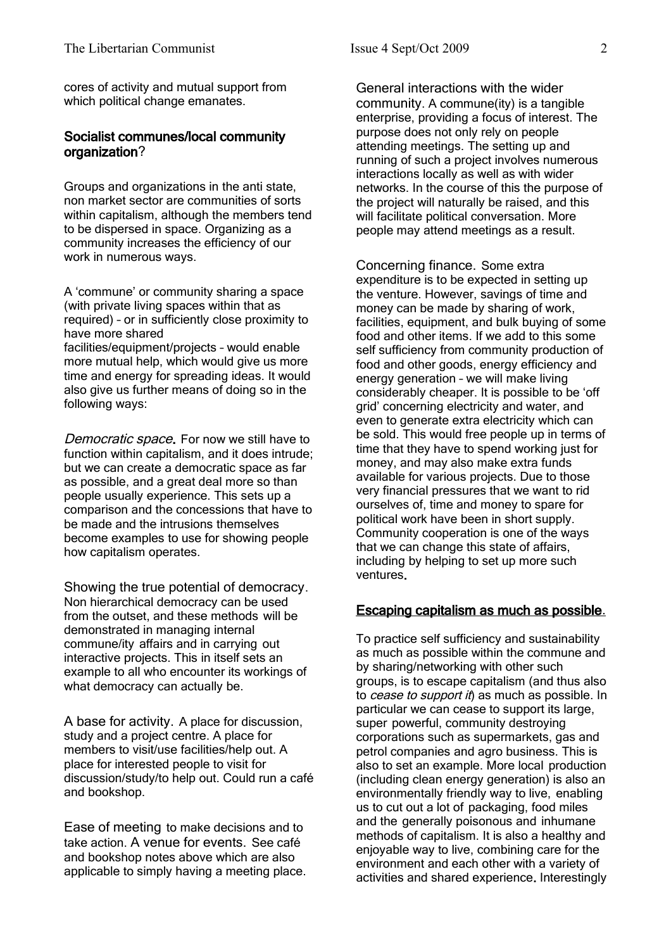cores of activity and mutual support from which political change emanates.

## Socialist communes/local community organization?

Groups and organizations in the anti state, non market sector are communities of sorts within capitalism, although the members tend to be dispersed in space. Organizing as a community increases the efficiency of our work in numerous ways.

A 'commune' or community sharing a space (with private living spaces within that as required) – or in sufficiently close proximity to have more shared facilities/equipment/projects – would enable more mutual help, which would give us more time and energy for spreading ideas. It would also give us further means of doing so in the

following ways:

Democratic space. For now we still have to function within capitalism, and it does intrude; but we can create a democratic space as far as possible, and a great deal more so than people usually experience. This sets up a comparison and the concessions that have to be made and the intrusions themselves become examples to use for showing people how capitalism operates.

Showing the true potential of democracy. Non hierarchical democracy can be used from the outset, and these methods will be demonstrated in managing internal commune/ity affairs and in carrying out interactive projects. This in itself sets an example to all who encounter its workings of what democracy can actually be.

A base for activity. A place for discussion, study and a project centre. A place for members to visit/use facilities/help out. A place for interested people to visit for discussion/study/to help out. Could run a café and bookshop.

Ease of meeting to make decisions and to take action. A venue for events. See café and bookshop notes above which are also applicable to simply having a meeting place. General interactions with the wider community. A commune(ity) is a tangible enterprise, providing a focus of interest. The purpose does not only rely on people attending meetings. The setting up and running of such a project involves numerous interactions locally as well as with wider networks. In the course of this the purpose of the project will naturally be raised, and this will facilitate political conversation. More people may attend meetings as a result.

Concerning finance. Some extra expenditure is to be expected in setting up the venture. However, savings of time and money can be made by sharing of work, facilities, equipment, and bulk buying of some food and other items. If we add to this some self sufficiency from community production of food and other goods, energy efficiency and energy generation – we will make living considerably cheaper. It is possible to be 'off grid' concerning electricity and water, and even to generate extra electricity which can be sold. This would free people up in terms of time that they have to spend working just for money, and may also make extra funds available for various projects. Due to those very financial pressures that we want to rid ourselves of, time and money to spare for political work have been in short supply. Community cooperation is one of the ways that we can change this state of affairs, including by helping to set up more such ventures.

## Escaping capitalism as much as possible.

To practice self sufficiency and sustainability as much as possible within the commune and by sharing/networking with other such groups, is to escape capitalism (and thus also to cease to support it) as much as possible. In particular we can cease to support its large, super powerful, community destroying corporations such as supermarkets, gas and petrol companies and agro business. This is also to set an example. More local production (including clean energy generation) is also an environmentally friendly way to live, enabling us to cut out a lot of packaging, food miles and the generally poisonous and inhumane methods of capitalism. It is also a healthy and enjoyable way to live, combining care for the environment and each other with a variety of activities and shared experience. Interestingly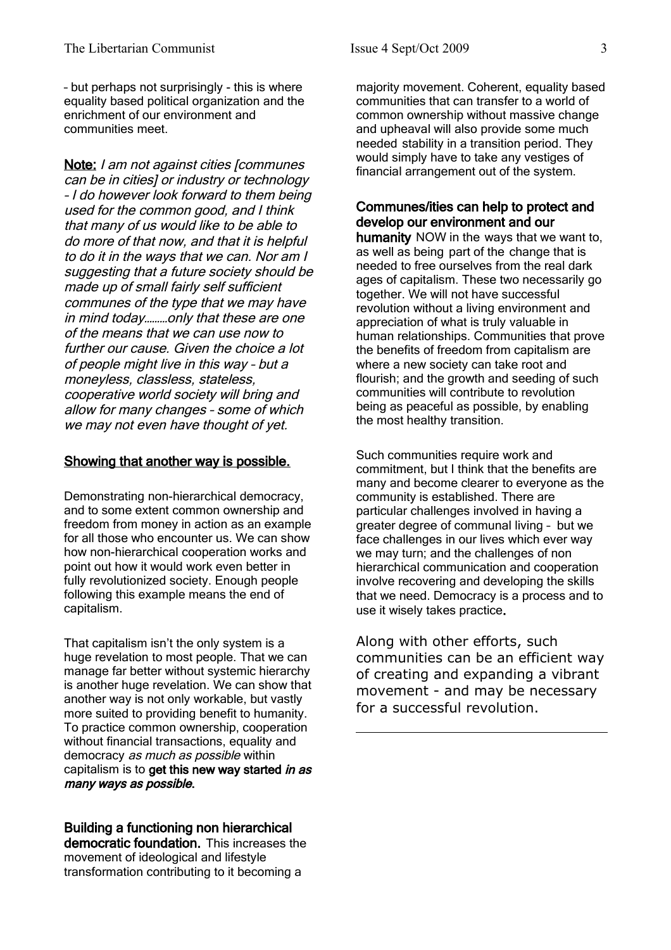– but perhaps not surprisingly - this is where equality based political organization and the enrichment of our environment and communities meet.

Note: I am not against cities [communes] can be in cities] or industry or technology – I do however look forward to them being used for the common good, and I think that many of us would like to be able to do more of that now, and that it is helpful to do it in the ways that we can. Nor am I suggesting that a future society should be made up of small fairly self sufficient communes of the type that we may have in mind today………only that these are one of the means that we can use now to further our cause. Given the choice a lot of people might live in this way – but a moneyless, classless, stateless, cooperative world society will bring and allow for many changes – some of which we may not even have thought of yet.

### Showing that another way is possible.

Demonstrating non-hierarchical democracy, and to some extent common ownership and freedom from money in action as an example for all those who encounter us. We can show how non-hierarchical cooperation works and point out how it would work even better in fully revolutionized society. Enough people following this example means the end of capitalism.

That capitalism isn't the only system is a huge revelation to most people. That we can manage far better without systemic hierarchy is another huge revelation. We can show that another way is not only workable, but vastly more suited to providing benefit to humanity. To practice common ownership, cooperation without financial transactions, equality and democracy as much as possible within capitalism is to get this new way started in as many ways as possible.

Building a functioning non hierarchical democratic foundation. This increases the movement of ideological and lifestyle transformation contributing to it becoming a

majority movement. Coherent, equality based communities that can transfer to a world of common ownership without massive change and upheaval will also provide some much needed stability in a transition period. They would simply have to take any vestiges of financial arrangement out of the system.

## Communes/ities can help to protect and develop our environment and our

humanity NOW in the ways that we want to, as well as being part of the change that is needed to free ourselves from the real dark ages of capitalism. These two necessarily go together. We will not have successful revolution without a living environment and appreciation of what is truly valuable in human relationships. Communities that prove the benefits of freedom from capitalism are where a new society can take root and flourish; and the growth and seeding of such communities will contribute to revolution being as peaceful as possible, by enabling the most healthy transition.

Such communities require work and commitment, but I think that the benefits are many and become clearer to everyone as the community is established. There are particular challenges involved in having a greater degree of communal living – but we face challenges in our lives which ever way we may turn; and the challenges of non hierarchical communication and cooperation involve recovering and developing the skills that we need. Democracy is a process and to use it wisely takes practice.

Along with other efforts, such communities can be an efficient way of creating and expanding a vibrant movement - and may be necessary for a successful revolution.